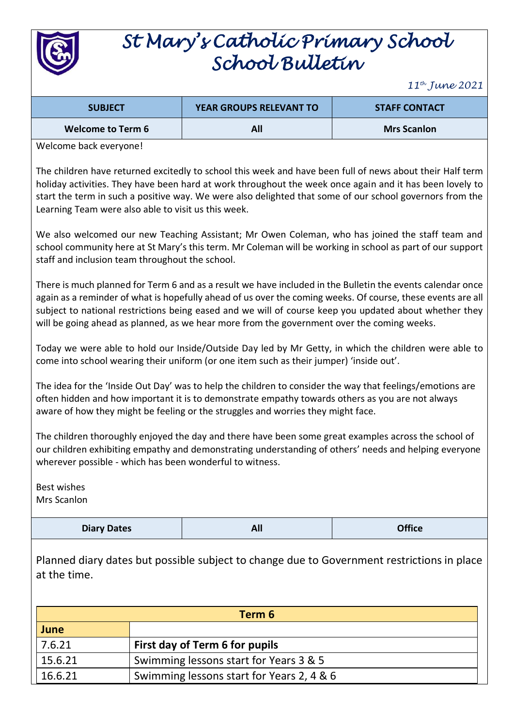

# *St Mary's Catholic Primary School School Bulletin*

*11th June 2021*

| <b>SUBJECT</b>           | <b>YEAR GROUPS RELEVANT TO</b> | <b>STAFF CONTACT</b> |
|--------------------------|--------------------------------|----------------------|
| <b>Welcome to Term 6</b> | All                            | <b>Mrs Scanlon</b>   |

Welcome back everyone!

The children have returned excitedly to school this week and have been full of news about their Half term holiday activities. They have been hard at work throughout the week once again and it has been lovely to start the term in such a positive way. We were also delighted that some of our school governors from the Learning Team were also able to visit us this week.

We also welcomed our new Teaching Assistant; Mr Owen Coleman, who has joined the staff team and school community here at St Mary's this term. Mr Coleman will be working in school as part of our support staff and inclusion team throughout the school.

There is much planned for Term 6 and as a result we have included in the Bulletin the events calendar once again as a reminder of what is hopefully ahead of us over the coming weeks. Of course, these events are all subject to national restrictions being eased and we will of course keep you updated about whether they will be going ahead as planned, as we hear more from the government over the coming weeks.

Today we were able to hold our Inside/Outside Day led by Mr Getty, in which the children were able to come into school wearing their uniform (or one item such as their jumper) 'inside out'.

The idea for the 'Inside Out Day' was to help the children to consider the way that feelings/emotions are often hidden and how important it is to demonstrate empathy towards others as you are not always aware of how they might be feeling or the struggles and worries they might face.

The children thoroughly enjoyed the day and there have been some great examples across the school of our children exhibiting empathy and demonstrating understanding of others' needs and helping everyone wherever possible - which has been wonderful to witness.

Best wishes Mrs Scanlon

**Diary Dates All Office**

Planned diary dates but possible subject to change due to Government restrictions in place at the time.

| Term 6  |                                           |  |  |
|---------|-------------------------------------------|--|--|
| June    |                                           |  |  |
| 7.6.21  | First day of Term 6 for pupils            |  |  |
| 15.6.21 | Swimming lessons start for Years 3 & 5    |  |  |
| 16.6.21 | Swimming lessons start for Years 2, 4 & 6 |  |  |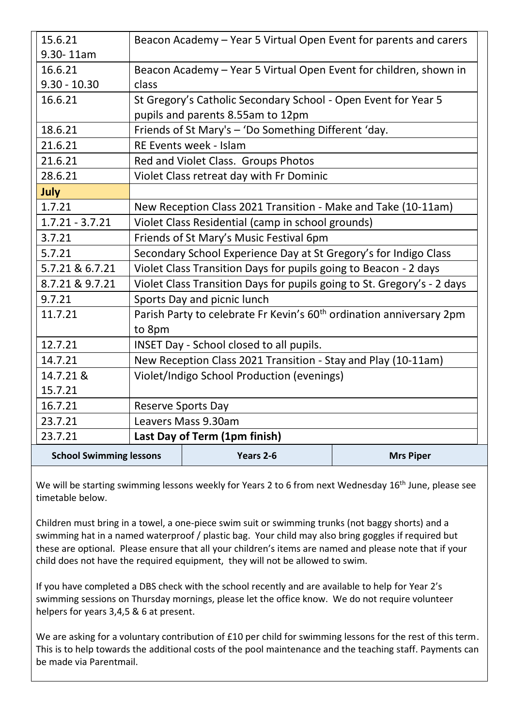| <b>School Swimming lessons</b> |                                                                                  | Years 2-6                                                                                 | <b>Mrs Piper</b> |  |
|--------------------------------|----------------------------------------------------------------------------------|-------------------------------------------------------------------------------------------|------------------|--|
| 23.7.21                        | Last Day of Term (1pm finish)                                                    |                                                                                           |                  |  |
| 23.7.21                        | Leavers Mass 9.30am                                                              |                                                                                           |                  |  |
| 16.7.21                        | <b>Reserve Sports Day</b>                                                        |                                                                                           |                  |  |
| 15.7.21                        |                                                                                  |                                                                                           |                  |  |
| 14.7.21 &                      | Violet/Indigo School Production (evenings)                                       |                                                                                           |                  |  |
| 14.7.21                        | New Reception Class 2021 Transition - Stay and Play (10-11am)                    |                                                                                           |                  |  |
| 12.7.21                        | INSET Day - School closed to all pupils.                                         |                                                                                           |                  |  |
|                                | to 8pm                                                                           |                                                                                           |                  |  |
| 11.7.21                        | Parish Party to celebrate Fr Kevin's 60 <sup>th</sup> ordination anniversary 2pm |                                                                                           |                  |  |
| 9.7.21                         | Sports Day and picnic lunch                                                      |                                                                                           |                  |  |
| 8.7.21 & 9.7.21                | Violet Class Transition Days for pupils going to St. Gregory's - 2 days          |                                                                                           |                  |  |
| 5.7.21 & 6.7.21                | Violet Class Transition Days for pupils going to Beacon - 2 days                 |                                                                                           |                  |  |
| 5.7.21                         | Secondary School Experience Day at St Gregory's for Indigo Class                 |                                                                                           |                  |  |
| 3.7.21                         | Friends of St Mary's Music Festival 6pm                                          |                                                                                           |                  |  |
| $1.7.21 - 3.7.21$              | Violet Class Residential (camp in school grounds)                                |                                                                                           |                  |  |
| 1.7.21                         |                                                                                  | New Reception Class 2021 Transition - Make and Take (10-11am)                             |                  |  |
| July                           |                                                                                  |                                                                                           |                  |  |
| 28.6.21                        |                                                                                  | Violet Class retreat day with Fr Dominic                                                  |                  |  |
| 21.6.21                        |                                                                                  | Red and Violet Class. Groups Photos                                                       |                  |  |
| 21.6.21                        |                                                                                  | <b>RE Events week - Islam</b>                                                             |                  |  |
| 18.6.21                        |                                                                                  | pupils and parents 8.55am to 12pm<br>Friends of St Mary's - 'Do Something Different 'day. |                  |  |
| 16.6.21                        | St Gregory's Catholic Secondary School - Open Event for Year 5                   |                                                                                           |                  |  |
| $9.30 - 10.30$                 |                                                                                  | class                                                                                     |                  |  |
| 16.6.21                        | Beacon Academy - Year 5 Virtual Open Event for children, shown in                |                                                                                           |                  |  |
| 9.30-11am                      |                                                                                  |                                                                                           |                  |  |
| 15.6.21                        | Beacon Academy - Year 5 Virtual Open Event for parents and carers                |                                                                                           |                  |  |

We will be starting swimming lessons weekly for Years 2 to 6 from next Wednesday 16<sup>th</sup> June, please see timetable below.

Children must bring in a towel, a one-piece swim suit or swimming trunks (not baggy shorts) and a swimming hat in a named waterproof / plastic bag. Your child may also bring goggles if required but these are optional. Please ensure that all your children's items are named and please note that if your child does not have the required equipment, they will not be allowed to swim.

If you have completed a DBS check with the school recently and are available to help for Year 2's swimming sessions on Thursday mornings, please let the office know. We do not require volunteer helpers for years 3,4,5 & 6 at present.

We are asking for a voluntary contribution of £10 per child for swimming lessons for the rest of this term. This is to help towards the additional costs of the pool maintenance and the teaching staff. Payments can be made via Parentmail.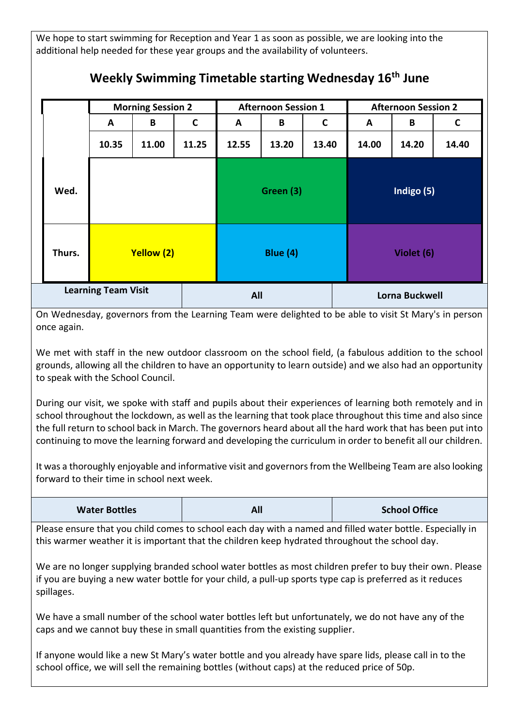We hope to start swimming for Reception and Year 1 as soon as possible, we are looking into the additional help needed for these year groups and the availability of volunteers.

|                            |            | <b>Morning Session 2</b> |                 |       | <b>Afternoon Session 1</b> |       | <b>Afternoon Session 2</b> |       |       |
|----------------------------|------------|--------------------------|-----------------|-------|----------------------------|-------|----------------------------|-------|-------|
|                            | A          | B                        | $\mathsf{C}$    | A     | B                          | C     | A                          | B     | C     |
|                            | 10.35      | 11.00                    | 11.25           | 12.55 | 13.20                      | 13.40 | 14.00                      | 14.20 | 14.40 |
| Wed.                       |            |                          | Green (3)       |       | Indigo (5)                 |       |                            |       |       |
| Thurs.                     | Yellow (2) |                          | <b>Blue (4)</b> |       | Violet (6)                 |       |                            |       |       |
| <b>Learning Team Visit</b> |            |                          | All             |       | <b>Lorna Buckwell</b>      |       |                            |       |       |

## **Weekly Swimming Timetable starting Wednesday 16th June**

On Wednesday, governors from the Learning Team were delighted to be able to visit St Mary's in person once again.

We met with staff in the new outdoor classroom on the school field, (a fabulous addition to the school grounds, allowing all the children to have an opportunity to learn outside) and we also had an opportunity to speak with the School Council.

During our visit, we spoke with staff and pupils about their experiences of learning both remotely and in school throughout the lockdown, as well as the learning that took place throughout this time and also since the full return to school back in March. The governors heard about all the hard work that has been put into continuing to move the learning forward and developing the curriculum in order to benefit all our children.

It was a thoroughly enjoyable and informative visit and governors from the Wellbeing Team are also looking forward to their time in school next week.

| <b>Water Bottles</b> | All | <b>School Office</b> |
|----------------------|-----|----------------------|
|----------------------|-----|----------------------|

Please ensure that you child comes to school each day with a named and filled water bottle. Especially in this warmer weather it is important that the children keep hydrated throughout the school day.

We are no longer supplying branded school water bottles as most children prefer to buy their own. Please if you are buying a new water bottle for your child, a pull-up sports type cap is preferred as it reduces spillages.

We have a small number of the school water bottles left but unfortunately, we do not have any of the caps and we cannot buy these in small quantities from the existing supplier.

If anyone would like a new St Mary's water bottle and you already have spare lids, please call in to the school office, we will sell the remaining bottles (without caps) at the reduced price of 50p.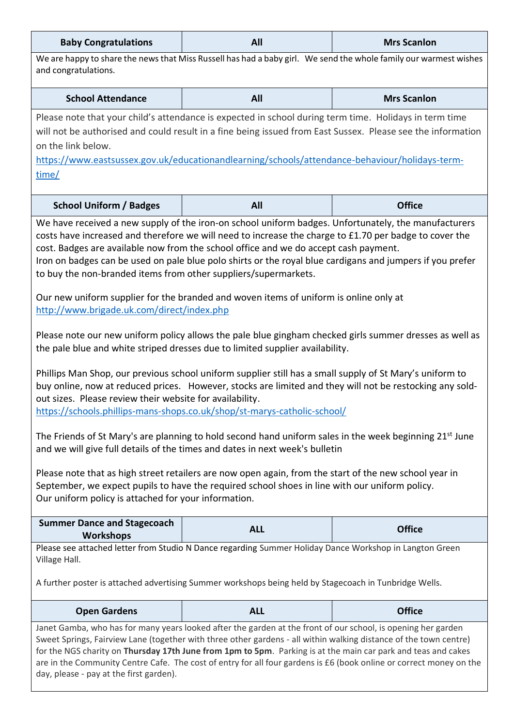| <b>Baby Congratulations</b>                                                                                                                                                                                                                                                                                                                                                                                                                                                                                                                                                                                                                                                                                                                                                                                                                                                                                                                                                                                                                                                                                                                                                                                                                                                                                                                                                                                                                                                                                                                                                                                  | All                         | <b>Mrs Scanlon</b> |  |  |  |
|--------------------------------------------------------------------------------------------------------------------------------------------------------------------------------------------------------------------------------------------------------------------------------------------------------------------------------------------------------------------------------------------------------------------------------------------------------------------------------------------------------------------------------------------------------------------------------------------------------------------------------------------------------------------------------------------------------------------------------------------------------------------------------------------------------------------------------------------------------------------------------------------------------------------------------------------------------------------------------------------------------------------------------------------------------------------------------------------------------------------------------------------------------------------------------------------------------------------------------------------------------------------------------------------------------------------------------------------------------------------------------------------------------------------------------------------------------------------------------------------------------------------------------------------------------------------------------------------------------------|-----------------------------|--------------------|--|--|--|
| We are happy to share the news that Miss Russell has had a baby girl. We send the whole family our warmest wishes<br>and congratulations.                                                                                                                                                                                                                                                                                                                                                                                                                                                                                                                                                                                                                                                                                                                                                                                                                                                                                                                                                                                                                                                                                                                                                                                                                                                                                                                                                                                                                                                                    |                             |                    |  |  |  |
| <b>School Attendance</b>                                                                                                                                                                                                                                                                                                                                                                                                                                                                                                                                                                                                                                                                                                                                                                                                                                                                                                                                                                                                                                                                                                                                                                                                                                                                                                                                                                                                                                                                                                                                                                                     | All                         | <b>Mrs Scanlon</b> |  |  |  |
| Please note that your child's attendance is expected in school during term time. Holidays in term time<br>will not be authorised and could result in a fine being issued from East Sussex. Please see the information<br>on the link below.<br>https://www.eastsussex.gov.uk/educationandlearning/schools/attendance-behaviour/holidays-term-<br>time/                                                                                                                                                                                                                                                                                                                                                                                                                                                                                                                                                                                                                                                                                                                                                                                                                                                                                                                                                                                                                                                                                                                                                                                                                                                       |                             |                    |  |  |  |
| <b>School Uniform / Badges</b>                                                                                                                                                                                                                                                                                                                                                                                                                                                                                                                                                                                                                                                                                                                                                                                                                                                                                                                                                                                                                                                                                                                                                                                                                                                                                                                                                                                                                                                                                                                                                                               | <b>All</b>                  | <b>Office</b>      |  |  |  |
| We have received a new supply of the iron-on school uniform badges. Unfortunately, the manufacturers<br>costs have increased and therefore we will need to increase the charge to £1.70 per badge to cover the<br>cost. Badges are available now from the school office and we do accept cash payment.<br>Iron on badges can be used on pale blue polo shirts or the royal blue cardigans and jumpers if you prefer<br>to buy the non-branded items from other suppliers/supermarkets.<br>Our new uniform supplier for the branded and woven items of uniform is online only at<br>http://www.brigade.uk.com/direct/index.php<br>Please note our new uniform policy allows the pale blue gingham checked girls summer dresses as well as<br>the pale blue and white striped dresses due to limited supplier availability.<br>Phillips Man Shop, our previous school uniform supplier still has a small supply of St Mary's uniform to<br>buy online, now at reduced prices. However, stocks are limited and they will not be restocking any sold-<br>out sizes. Please review their website for availability.<br>https://schools.phillips-mans-shops.co.uk/shop/st-marys-catholic-school/<br>The Friends of St Mary's are planning to hold second hand uniform sales in the week beginning 21 <sup>st</sup> June<br>and we will give full details of the times and dates in next week's bulletin<br>Please note that as high street retailers are now open again, from the start of the new school year in<br>September, we expect pupils to have the required school shoes in line with our uniform policy. |                             |                    |  |  |  |
| <b>Summer Dance and Stagecoach</b><br><b>Workshops</b>                                                                                                                                                                                                                                                                                                                                                                                                                                                                                                                                                                                                                                                                                                                                                                                                                                                                                                                                                                                                                                                                                                                                                                                                                                                                                                                                                                                                                                                                                                                                                       | <b>ALL</b>                  | <b>Office</b>      |  |  |  |
| Please see attached letter from Studio N Dance regarding Summer Holiday Dance Workshop in Langton Green<br>Village Hall.<br>A further poster is attached advertising Summer workshops being held by Stagecoach in Tunbridge Wells.                                                                                                                                                                                                                                                                                                                                                                                                                                                                                                                                                                                                                                                                                                                                                                                                                                                                                                                                                                                                                                                                                                                                                                                                                                                                                                                                                                           |                             |                    |  |  |  |
| <b>Open Gardens</b>                                                                                                                                                                                                                                                                                                                                                                                                                                                                                                                                                                                                                                                                                                                                                                                                                                                                                                                                                                                                                                                                                                                                                                                                                                                                                                                                                                                                                                                                                                                                                                                          | <b>Office</b><br><b>ALL</b> |                    |  |  |  |
| Janet Gamba, who has for many years looked after the garden at the front of our school, is opening her garden<br>Sweet Springs, Fairview Lane (together with three other gardens - all within walking distance of the town centre)<br>for the NGS charity on Thursday 17th June from 1pm to 5pm. Parking is at the main car park and teas and cakes<br>are in the Community Centre Cafe. The cost of entry for all four gardens is £6 (book online or correct money on the<br>day, please - pay at the first garden).                                                                                                                                                                                                                                                                                                                                                                                                                                                                                                                                                                                                                                                                                                                                                                                                                                                                                                                                                                                                                                                                                        |                             |                    |  |  |  |